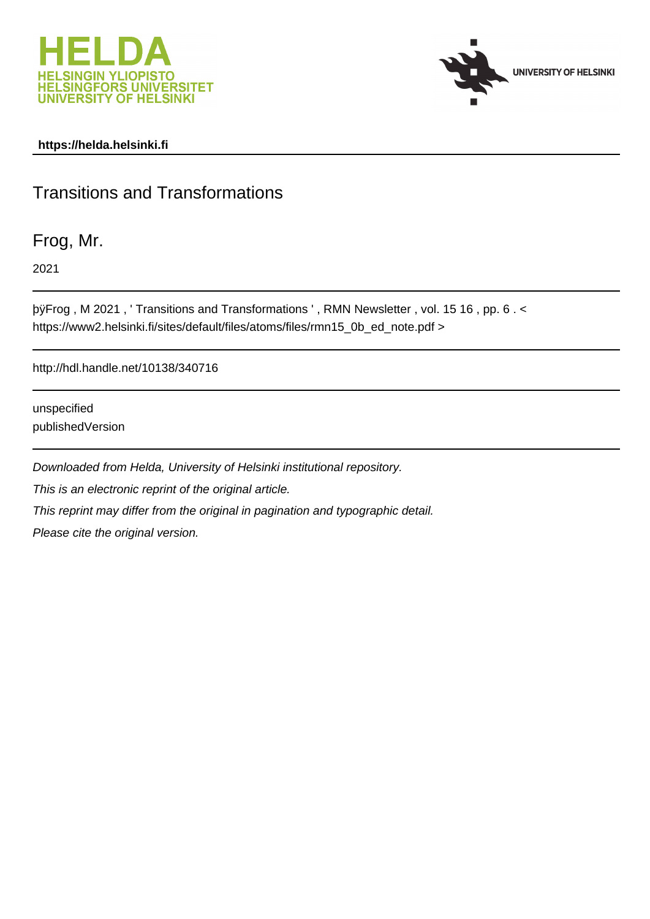



## **https://helda.helsinki.fi**

## Transitions and Transformations

Frog, Mr.

2021

þÿFrog, M 2021, 'Transitions and Transformations ', RMN Newsletter https://www2.helsinki.fi/sites/default/files/atoms/files/rmn15\_0b\_ed\_note.pdf >

http://hdl.handle.net/10138/340716

unspecified publishedVersion

Downloaded from Helda, University of Helsinki institutional repository. This is an electronic reprint of the original article. This reprint may differ from the original in pagination and typographic detail. Please cite the original version.